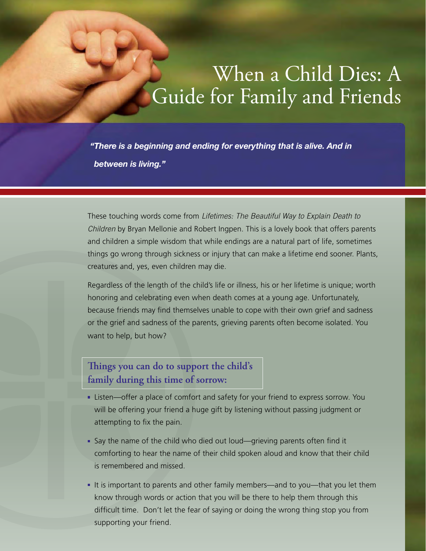## When a Child Dies: A Guide for Family and Friends

*"There is a beginning and ending for everything that is alive. And in between is living."*

These touching words come from *Lifetimes: The Beautiful Way to Explain Death to Children* by Bryan Mellonie and Robert Ingpen. This is a lovely book that offers parents and children a simple wisdom that while endings are a natural part of life, sometimes things go wrong through sickness or injury that can make a lifetime end sooner. Plants, creatures and, yes, even children may die.

Regardless of the length of the child's life or illness, his or her lifetime is unique; worth honoring and celebrating even when death comes at a young age. Unfortunately, because friends may find themselves unable to cope with their own grief and sadness or the grief and sadness of the parents, grieving parents often become isolated. You want to help, but how?

## **Things you can do to support the child's family during this time of sorrow:**

- Listen—offer a place of comfort and safety for your friend to express sorrow. You will be offering your friend a huge gift by listening without passing judgment or attempting to fix the pain.
- Say the name of the child who died out loud—grieving parents often find it comforting to hear the name of their child spoken aloud and know that their child is remembered and missed.
- If is important to parents and other family members—and to you—that you let them know through words or action that you will be there to help them through this difficult time. Don't let the fear of saying or doing the wrong thing stop you from supporting your friend.